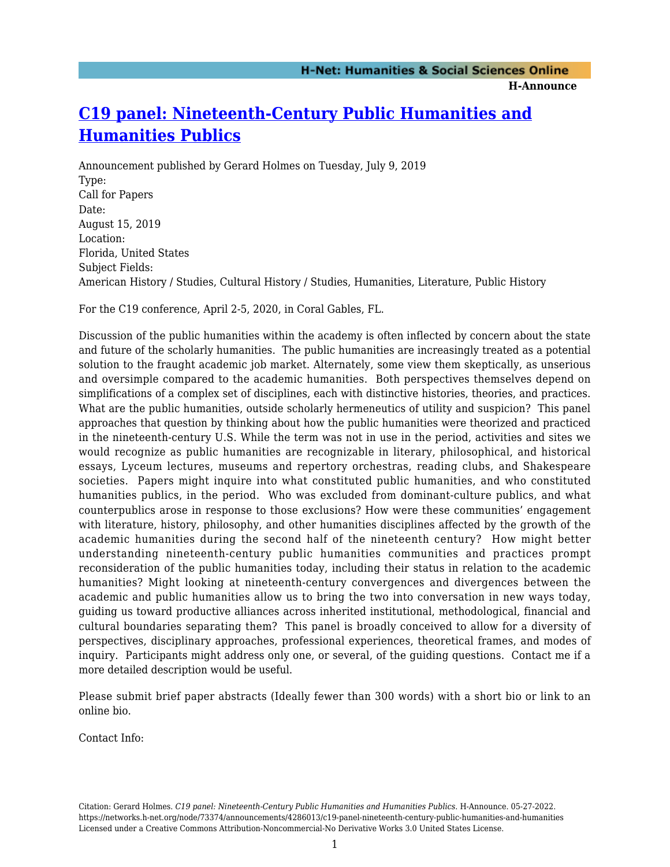## **H-Announce**

## **[C19 panel: Nineteenth-Century Public Humanities and](https://networks.h-net.org/node/73374/announcements/4286013/c19-panel-nineteenth-century-public-humanities-and-humanities) [Humanities Publics](https://networks.h-net.org/node/73374/announcements/4286013/c19-panel-nineteenth-century-public-humanities-and-humanities)**

Announcement published by Gerard Holmes on Tuesday, July 9, 2019 Type: Call for Papers Date: August 15, 2019 Location: Florida, United States Subject Fields: American History / Studies, Cultural History / Studies, Humanities, Literature, Public History

For the C19 conference, April 2-5, 2020, in Coral Gables, FL.

Discussion of the public humanities within the academy is often inflected by concern about the state and future of the scholarly humanities. The public humanities are increasingly treated as a potential solution to the fraught academic job market. Alternately, some view them skeptically, as unserious and oversimple compared to the academic humanities. Both perspectives themselves depend on simplifications of a complex set of disciplines, each with distinctive histories, theories, and practices. What are the public humanities, outside scholarly hermeneutics of utility and suspicion? This panel approaches that question by thinking about how the public humanities were theorized and practiced in the nineteenth-century U.S. While the term was not in use in the period, activities and sites we would recognize as public humanities are recognizable in literary, philosophical, and historical essays, Lyceum lectures, museums and repertory orchestras, reading clubs, and Shakespeare societies. Papers might inquire into what constituted public humanities, and who constituted humanities publics, in the period. Who was excluded from dominant-culture publics, and what counterpublics arose in response to those exclusions? How were these communities' engagement with literature, history, philosophy, and other humanities disciplines affected by the growth of the academic humanities during the second half of the nineteenth century? How might better understanding nineteenth-century public humanities communities and practices prompt reconsideration of the public humanities today, including their status in relation to the academic humanities? Might looking at nineteenth-century convergences and divergences between the academic and public humanities allow us to bring the two into conversation in new ways today, guiding us toward productive alliances across inherited institutional, methodological, financial and cultural boundaries separating them? This panel is broadly conceived to allow for a diversity of perspectives, disciplinary approaches, professional experiences, theoretical frames, and modes of inquiry. Participants might address only one, or several, of the guiding questions. Contact me if a more detailed description would be useful.

Please submit brief paper abstracts (Ideally fewer than 300 words) with a short bio or link to an online bio.

Contact Info:

Citation: Gerard Holmes. *C19 panel: Nineteenth-Century Public Humanities and Humanities Publics*. H-Announce. 05-27-2022. https://networks.h-net.org/node/73374/announcements/4286013/c19-panel-nineteenth-century-public-humanities-and-humanities Licensed under a Creative Commons Attribution-Noncommercial-No Derivative Works 3.0 United States License.